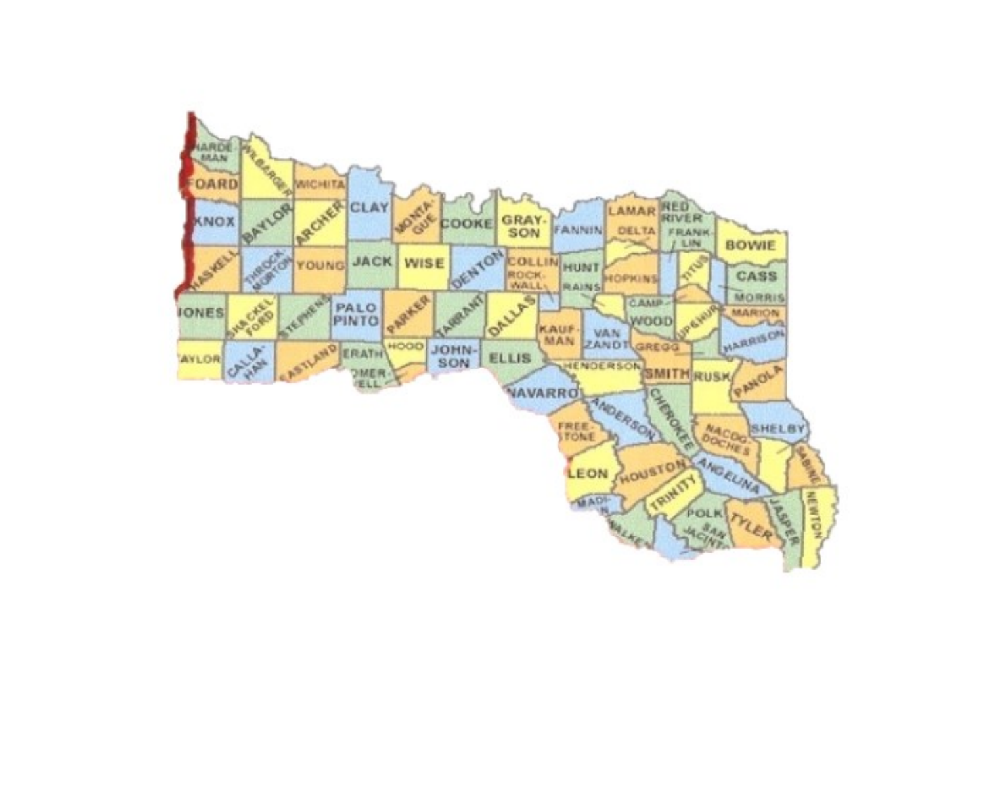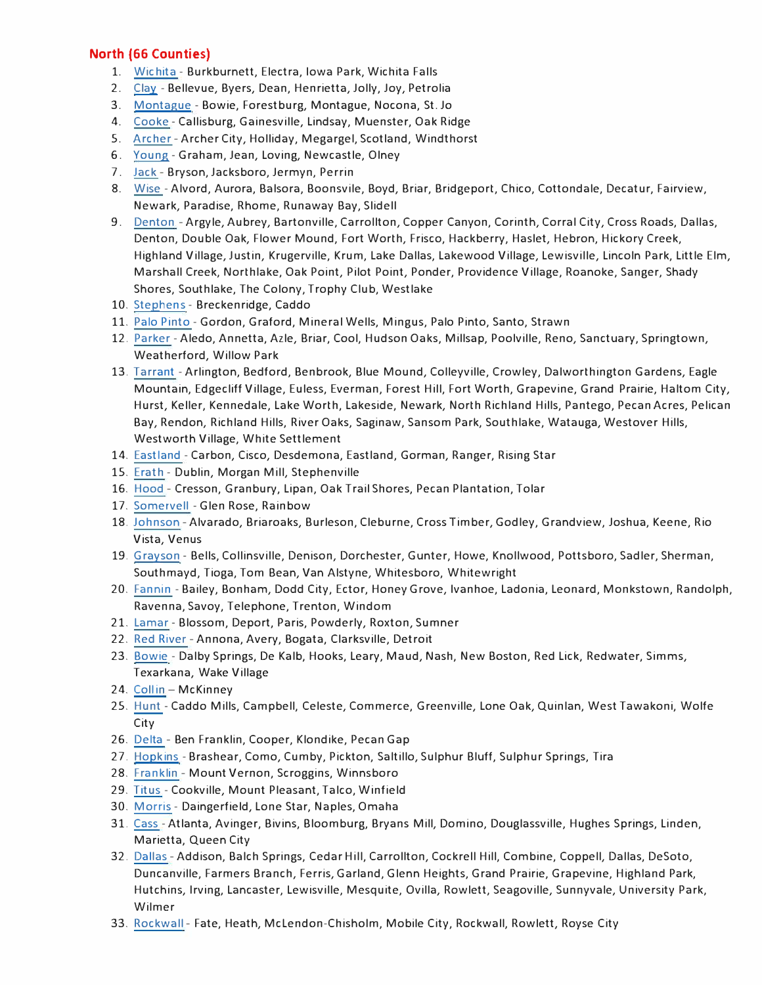## **North (66 Counties)**

- 1. Wichita Burkburnett, Electra, Iowa Park, Wichita Falls
- 2. Clay Bellevue, Byers, Dean, Henrietta, Jolly, Joy, Petrolia
- 3. Montague Bowie, Forestburg, Montague, Nocona, St. Jo
- 4. Cooke Callisburg, Gainesville, Lindsay, Muenster, Oak Ridge
- 5. Archer -Archer City, Holliday, Megargel, Scotland, Windthorst
- 6. Young -Graham, Jean, Loving, Newcastle, Olney
- 7. Jack Bryson, Jacksboro, Jermyn, Perrin
- 8. Wise Alvord, Aurora, Balsora, Boonsvile, Boyd, Briar, Bridgeport, Chico, Cottondale, Decatur, Fairview, Newark, Paradise, Rhome, Runaway Bay, Slidell
- 9. Denton Argyle, Aubrey, Bartonville, Carrollton, Copper Canyon, Corinth, Corral City, Cross Roads, Dallas, Denton, Double Oak, Flower Mound, Fort Worth, Frisco, Hackberry, Haslet, Hebron, Hickory Creek, Highland Village, Justin, Krugerville, Krum, Lake Dallas, Lakewood Village, Lewisville, Lincoln Park, Little Elm, Marshall Creek, Northlake, Oak Point, Pilot Point, Ponder, Providence Village, Roanoke, Sanger, Shady Shores, Southlake, The Colony, Trophy Club, Westlake
- 10. Stephens Breckenridge, Caddo
- 11. Palo Pinto -Gordon, Graford, Mineral Wells, Mingus, Palo Pinto, Santo, Strawn
- 12. Parker -Aledo, Annetta, Azle, Briar, Cool, Hudson Oaks, Millsap, Poolville, Reno, Sanctuary, Springtown, Weatherford, Willow Park
- 13. Tarrant -Arlington, Bedford, Benbrook, Blue Mound, Colleyville, Crowley, Dalworthington Gardens, Eagle Mountain, Edgecliff Village, Euless, Everman, Forest Hill, Fort Worth, Grapevine, Grand Prairie, Haltom City, Hurst, Keller, Kennedale, Lake Worth, Lakeside, Newark, North Richland Hills, Pantego, Pecan Acres, Pelican Bay, Rendon, Richland Hills, River Oaks, Saginaw, Sansom Park, Southlake, Watauga, Westover Hills, Westworth Village, White Settlement
- 14. Eastland Carbon, Cisco, Desdemona, Eastland, Gorman, Ranger, Rising Star
- 15. Erath Dublin, Morgan Mill, Stephenville
- 16. Hood Cresson, Granbury, Lipan, Oak Trail Shores, Pecan Plantation, Tolar
- 17. Somervell -Glen Rose, Rainbow
- 18. Johnson -Alvarado, Briaroaks, Burleson, Cleburne, Cross Timber, Godley, Grandview, Joshua, Keene, Rio
- Vista, Venus
- 19. Grayson Bells, Collinsville, Denison, Dorchester, Gunter, Howe, Knollwood, Pottsboro, Sadler, Sherman, Southmayd, Tioga, Tom Bean, Van Alstyne, Whitesboro, Whitewright
- 20. Fannin Bailey, Bonham, Dodd City, Ector, Honey Grove, Ivanhoe, Ladonia, Leonard, Monkstown, Randolph, Ravenna, Savoy, Telephone, Trenton, Windom
- 21. Lamar Blossom, Deport, Paris, Powderly, Roxton, Sumner
- 22. Red River -Annona, Avery, Bogata, Clarksville, Detroit
- 23. Bowie Dalby Springs, De Kalb, Hooks, Leary, Maud, Nash, New Boston, Red Lick, Redwater, Simms, Texarkana, Wake Village
- 24. Collin McKinney
- 25. Hunt Caddo Mills, Campbell, Celeste, Commerce, Greenville, Lone Oak, Quinlan, West Tawakoni, Wolfe **City**
- 26. Delta Ben Franklin, Cooper, Klondike, Pecan Gap
- 27. Hopkins Brashear, Como, Cumby, Pickton, Saltillo, Sulphur Bluff, Sulphur Springs, Tira
- 28. Franklin Mount Vernon, Scroggins, Winnsboro
- 29. Titus Cookville, Mount Pleasant, Talco, Winfield
- 30. Morris Daingerfield, Lone Star, Naples, Omaha
- 31. Cass -Atlanta, Avinger, Bivins, Bloomburg, Bryans Mill, Domino, Douglassville, Hughes Springs, Linden, Marietta, Queen City
- 32. Dallas Addison, Balch Springs, Cedar Hill, Carrollton, Cockrell Hill, Combine, Coppell, Dallas, DeSoto, Duncanville, Farmers Branch, Ferris, Garland, Glenn Heights, Grand Prairie, Grapevine, Highland Park, Hutchins, Irving, Lancaster, Lewisville, Mesquite, Ovilla, Rowlett, Seagoville, Sunnyvale, University Park, Wilmer
- 33. Rockwall Fate, Heath, Mclendon-Chisholm, Mobile City, Rockwall, Rowlett, Royse City